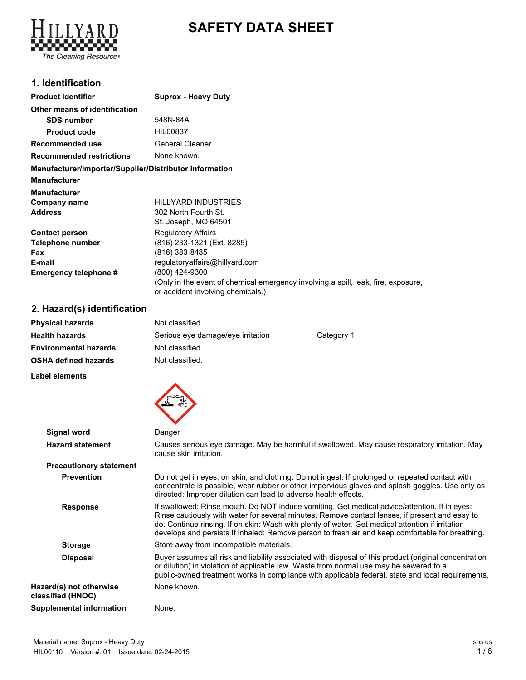# **SAFETY DATA SHEET**



## **1. Identification**

| <b>Suprox - Heavy Duty</b>                                                                                                                 |
|--------------------------------------------------------------------------------------------------------------------------------------------|
|                                                                                                                                            |
| 548N-84A                                                                                                                                   |
| HIL00837                                                                                                                                   |
| General Cleaner                                                                                                                            |
| None known.                                                                                                                                |
| Manufacturer/Importer/Supplier/Distributor information                                                                                     |
|                                                                                                                                            |
|                                                                                                                                            |
| <b>HILLYARD INDUSTRIES</b>                                                                                                                 |
| 302 North Fourth St.                                                                                                                       |
| St. Joseph, MO 64501                                                                                                                       |
| <b>Regulatory Affairs</b>                                                                                                                  |
| (816) 233-1321 (Ext. 8285)                                                                                                                 |
| (816) 383-8485                                                                                                                             |
| regulatoryaffairs@hillyard.com                                                                                                             |
| $(800)$ 424-9300<br>(Only in the event of chemical emergency involving a spill, leak, fire, exposure,<br>or accident involving chemicals.) |
|                                                                                                                                            |

# **2. Hazard(s) identification**

| Physical hazards      | Not classified.                   |            |
|-----------------------|-----------------------------------|------------|
| Health hazards        | Serious eye damage/eye irritation | Category 1 |
| Environmental hazards | Not classified.                   |            |
| OSHA defined hazards  | Not classified.                   |            |
|                       |                                   |            |

**Label elements**



| Signal word                                  | Danger                                                                                                                                                                                                                                                                                                                                                                                                 |
|----------------------------------------------|--------------------------------------------------------------------------------------------------------------------------------------------------------------------------------------------------------------------------------------------------------------------------------------------------------------------------------------------------------------------------------------------------------|
| <b>Hazard statement</b>                      | Causes serious eye damage. May be harmful if swallowed. May cause respiratory irritation. May<br>cause skin irritation.                                                                                                                                                                                                                                                                                |
| <b>Precautionary statement</b>               |                                                                                                                                                                                                                                                                                                                                                                                                        |
| <b>Prevention</b>                            | Do not get in eyes, on skin, and clothing. Do not ingest. If prolonged or repeated contact with<br>concentrate is possible, wear rubber or other impervious gloves and splash goggles. Use only as<br>directed: Improper dilution can lead to adverse health effects.                                                                                                                                  |
| <b>Response</b>                              | If swallowed: Rinse mouth. Do NOT induce vomiting. Get medical advice/attention. If in eyes:<br>Rinse cautiously with water for several minutes. Remove contact lenses, if present and easy to<br>do. Continue rinsing. If on skin: Wash with plenty of water. Get medical attention if irritation<br>develops and persists If inhaled: Remove person to fresh air and keep comfortable for breathing. |
| <b>Storage</b>                               | Store away from incompatible materials.                                                                                                                                                                                                                                                                                                                                                                |
| <b>Disposal</b>                              | Buyer assumes all risk and liability associated with disposal of this product (original concentration<br>or dilution) in violation of applicable law. Waste from normal use may be sewered to a<br>public-owned treatment works in compliance with applicable federal, state and local requirements.                                                                                                   |
| Hazard(s) not otherwise<br>classified (HNOC) | None known.                                                                                                                                                                                                                                                                                                                                                                                            |
| Supplemental information                     | None.                                                                                                                                                                                                                                                                                                                                                                                                  |
|                                              |                                                                                                                                                                                                                                                                                                                                                                                                        |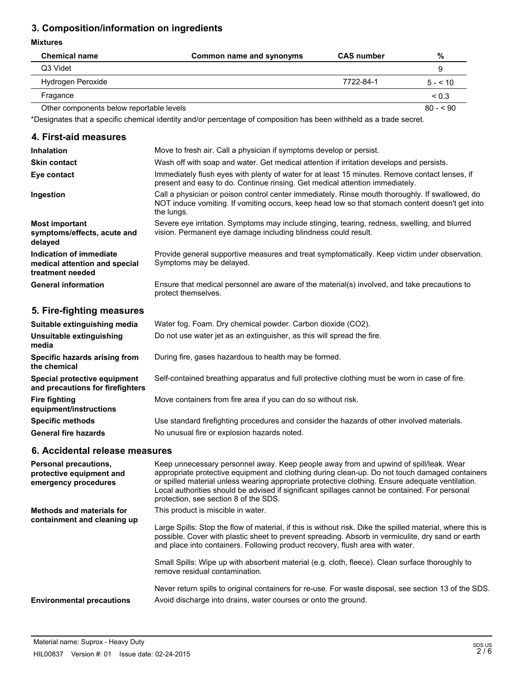## **3. Composition/information on ingredients**

#### **Mixtures**

| <b>Chemical name</b>                     | Common name and synonyms | <b>CAS number</b> | %          |
|------------------------------------------|--------------------------|-------------------|------------|
| Q3 Videt                                 |                          |                   |            |
| Hydrogen Peroxide                        |                          | 7722-84-1         | $5 - 510$  |
| Fragance                                 |                          |                   | ${}_{0.3}$ |
| Other components below reportable levels |                          |                   | $80 - 90$  |

\*Designates that a specific chemical identity and/or percentage of composition has been withheld as a trade secret.

| 4. First-aid measures                                                        |                                                                                                                                                                                                                  |
|------------------------------------------------------------------------------|------------------------------------------------------------------------------------------------------------------------------------------------------------------------------------------------------------------|
| <b>Inhalation</b>                                                            | Move to fresh air. Call a physician if symptoms develop or persist.                                                                                                                                              |
| <b>Skin contact</b>                                                          | Wash off with soap and water. Get medical attention if irritation develops and persists.                                                                                                                         |
| Eye contact                                                                  | Immediately flush eyes with plenty of water for at least 15 minutes. Remove contact lenses, if<br>present and easy to do. Continue rinsing. Get medical attention immediately.                                   |
| Ingestion                                                                    | Call a physician or poison control center immediately. Rinse mouth thoroughly. If swallowed, do<br>NOT induce vomiting. If vomiting occurs, keep head low so that stomach content doesn't get into<br>the lungs. |
| <b>Most important</b><br>symptoms/effects, acute and<br>delayed              | Severe eye irritation. Symptoms may include stinging, tearing, redness, swelling, and blurred<br>vision. Permanent eye damage including blindness could result.                                                  |
| Indication of immediate<br>medical attention and special<br>treatment needed | Provide general supportive measures and treat symptomatically. Keep victim under observation.<br>Symptoms may be delayed.                                                                                        |
| <b>General information</b>                                                   | Ensure that medical personnel are aware of the material(s) involved, and take precautions to<br>protect themselves.                                                                                              |

## **5. Fire-fighting measures**

| Suitable extinguishing media                                     | Water fog. Foam. Dry chemical powder. Carbon dioxide (CO2).                                   |
|------------------------------------------------------------------|-----------------------------------------------------------------------------------------------|
| Unsuitable extinguishing<br>media                                | Do not use water jet as an extinguisher, as this will spread the fire.                        |
| Specific hazards arising from<br>the chemical                    | During fire, gases hazardous to health may be formed.                                         |
| Special protective equipment<br>and precautions for firefighters | Self-contained breathing apparatus and full protective clothing must be worn in case of fire. |
| Fire fighting<br>equipment/instructions                          | Move containers from fire area if you can do so without risk.                                 |
| <b>Specific methods</b>                                          | Use standard firefighting procedures and consider the hazards of other involved materials.    |
| <b>General fire hazards</b>                                      | No unusual fire or explosion hazards noted.                                                   |

## **6. Accidental release measures**

| Personal precautions,<br>protective equipment and<br>emergency procedures | Keep unnecessary personnel away. Keep people away from and upwind of spill/leak. Wear<br>appropriate protective equipment and clothing during clean-up. Do not touch damaged containers<br>or spilled material unless wearing appropriate protective clothing. Ensure adequate ventilation.<br>Local authorities should be advised if significant spillages cannot be contained. For personal<br>protection, see section 8 of the SDS. |
|---------------------------------------------------------------------------|----------------------------------------------------------------------------------------------------------------------------------------------------------------------------------------------------------------------------------------------------------------------------------------------------------------------------------------------------------------------------------------------------------------------------------------|
| Methods and materials for<br>containment and cleaning up                  | This product is miscible in water.<br>Large Spills: Stop the flow of material, if this is without risk. Dike the spilled material, where this is<br>possible. Cover with plastic sheet to prevent spreading. Absorb in vermiculite, dry sand or earth<br>and place into containers. Following product recovery, flush area with water.                                                                                                 |
|                                                                           | Small Spills: Wipe up with absorbent material (e.g. cloth, fleece). Clean surface thoroughly to<br>remove residual contamination.                                                                                                                                                                                                                                                                                                      |
| <b>Environmental precautions</b>                                          | Never return spills to original containers for re-use. For waste disposal, see section 13 of the SDS.<br>Avoid discharge into drains, water courses or onto the ground.                                                                                                                                                                                                                                                                |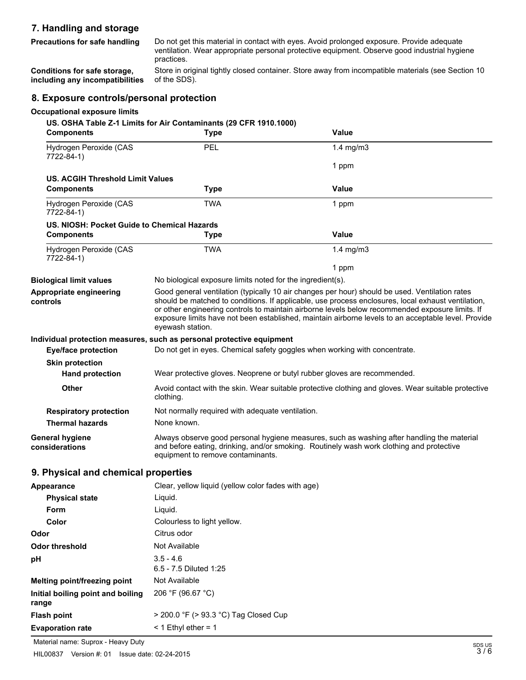## **7. Handling and storage**

**Precautions for safe handling** Do not get this material in contact with eyes. Avoid prolonged exposure. Provide adequate ventilation. Wear appropriate personal protective equipment. Observe good industrial hygiene practices.

**Conditions for safe storage, including any incompatibilities** Store in original tightly closed container. Store away from incompatible materials (see Section 10 of the SDS).

#### **8. Exposure controls/personal protection**

#### **Occupational exposure limits**

**US. OSHA Table Z-1 Limits for Air Contaminants (29 CFR 1910.1000)**

| <b>Components</b>                           | <b>Type</b>                                                                                                                                                                                                                                                                                                                                                                                                                        | Value                                                                      |  |
|---------------------------------------------|------------------------------------------------------------------------------------------------------------------------------------------------------------------------------------------------------------------------------------------------------------------------------------------------------------------------------------------------------------------------------------------------------------------------------------|----------------------------------------------------------------------------|--|
| Hydrogen Peroxide (CAS<br>7722-84-1)        | PEL                                                                                                                                                                                                                                                                                                                                                                                                                                | $1.4 \text{ mg/m}$ 3                                                       |  |
|                                             |                                                                                                                                                                                                                                                                                                                                                                                                                                    | 1 ppm                                                                      |  |
| <b>US. ACGIH Threshold Limit Values</b>     |                                                                                                                                                                                                                                                                                                                                                                                                                                    |                                                                            |  |
| <b>Components</b>                           | <b>Type</b>                                                                                                                                                                                                                                                                                                                                                                                                                        | Value                                                                      |  |
| Hydrogen Peroxide (CAS<br>7722-84-1)        | <b>TWA</b>                                                                                                                                                                                                                                                                                                                                                                                                                         | 1 ppm                                                                      |  |
| US. NIOSH: Pocket Guide to Chemical Hazards |                                                                                                                                                                                                                                                                                                                                                                                                                                    |                                                                            |  |
| <b>Components</b>                           | <b>Type</b>                                                                                                                                                                                                                                                                                                                                                                                                                        | <b>Value</b>                                                               |  |
| Hydrogen Peroxide (CAS<br>7722-84-1)        | <b>TWA</b>                                                                                                                                                                                                                                                                                                                                                                                                                         | $1.4$ mg/m $3$                                                             |  |
|                                             |                                                                                                                                                                                                                                                                                                                                                                                                                                    | 1 ppm                                                                      |  |
| <b>Biological limit values</b>              | No biological exposure limits noted for the ingredient(s).                                                                                                                                                                                                                                                                                                                                                                         |                                                                            |  |
| Appropriate engineering<br>controls         | Good general ventilation (typically 10 air changes per hour) should be used. Ventilation rates<br>should be matched to conditions. If applicable, use process enclosures, local exhaust ventilation,<br>or other engineering controls to maintain airborne levels below recommended exposure limits. If<br>exposure limits have not been established, maintain airborne levels to an acceptable level. Provide<br>eyewash station. |                                                                            |  |
|                                             | Individual protection measures, such as personal protective equipment                                                                                                                                                                                                                                                                                                                                                              |                                                                            |  |
| <b>Eye/face protection</b>                  |                                                                                                                                                                                                                                                                                                                                                                                                                                    | Do not get in eyes. Chemical safety goggles when working with concentrate. |  |
| <b>Skin protection</b>                      |                                                                                                                                                                                                                                                                                                                                                                                                                                    |                                                                            |  |
| <b>Hand protection</b>                      | Wear protective gloves. Neoprene or butyl rubber gloves are recommended.                                                                                                                                                                                                                                                                                                                                                           |                                                                            |  |
| <b>Other</b>                                | Avoid contact with the skin. Wear suitable protective clothing and gloves. Wear suitable protective<br>clothing.                                                                                                                                                                                                                                                                                                                   |                                                                            |  |
| <b>Respiratory protection</b>               | Not normally required with adequate ventilation.                                                                                                                                                                                                                                                                                                                                                                                   |                                                                            |  |
| <b>Thermal hazards</b>                      | None known.                                                                                                                                                                                                                                                                                                                                                                                                                        |                                                                            |  |
| General hygiene<br>considerations           | Always observe good personal hygiene measures, such as washing after handling the material<br>and before eating, drinking, and/or smoking. Routinely wash work clothing and protective<br>equipment to remove contaminants.                                                                                                                                                                                                        |                                                                            |  |
| 9. Physical and chemical properties         |                                                                                                                                                                                                                                                                                                                                                                                                                                    |                                                                            |  |
| <b>Appearance</b>                           | Clear, yellow liquid (yellow color fades with age)                                                                                                                                                                                                                                                                                                                                                                                 |                                                                            |  |
| <b>Physical state</b>                       | Liquid.                                                                                                                                                                                                                                                                                                                                                                                                                            |                                                                            |  |
| Form                                        | Liquid.                                                                                                                                                                                                                                                                                                                                                                                                                            |                                                                            |  |
| Color                                       | Colourless to light yellow.                                                                                                                                                                                                                                                                                                                                                                                                        |                                                                            |  |
| Odor                                        | Citrus odor                                                                                                                                                                                                                                                                                                                                                                                                                        |                                                                            |  |
| Odor threshold                              | Not Available                                                                                                                                                                                                                                                                                                                                                                                                                      |                                                                            |  |
| pН                                          | $3.5 - 4.6$<br>6.5 - 7.5 Diluted 1:25                                                                                                                                                                                                                                                                                                                                                                                              |                                                                            |  |
| Melting point/freezing point                | Not Available                                                                                                                                                                                                                                                                                                                                                                                                                      |                                                                            |  |
| Initial boiling point and boiling<br>range  | 206 °F (96.67 °C)                                                                                                                                                                                                                                                                                                                                                                                                                  |                                                                            |  |
|                                             |                                                                                                                                                                                                                                                                                                                                                                                                                                    |                                                                            |  |

**Flash point** > 200.0 °F (> 93.3 °C) Tag Closed Cup **Evaporation rate**  $\leq 1$  Ethyl ether = 1

Material name: Suprox - Heavy Duty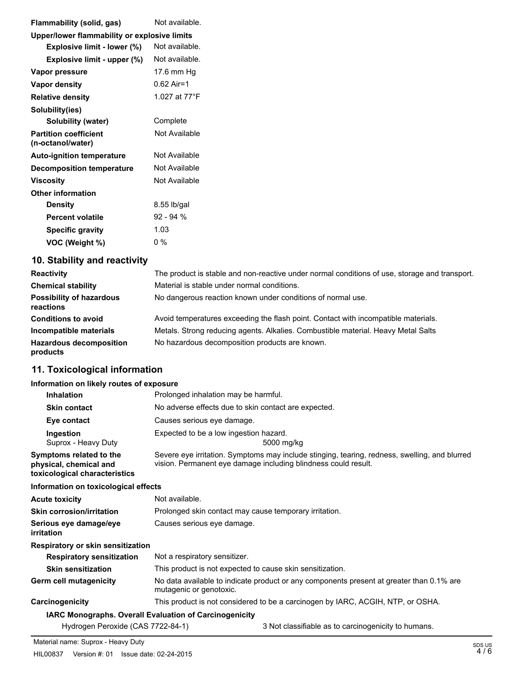| Flammability (solid, gas)                    | Not available. |  |
|----------------------------------------------|----------------|--|
| Upper/lower flammability or explosive limits |                |  |
| Explosive limit - lower (%)                  | Not available. |  |
| Explosive limit - upper (%)                  | Not available  |  |
| Vapor pressure                               | 17.6 mm Hg     |  |
| Vapor density                                | 0.62 Air=1     |  |
| <b>Relative density</b>                      | 1 027 at 77°F  |  |
| Solubility(ies)                              |                |  |
| Solubility (water)                           | Complete       |  |
| <b>Partition coefficient</b>                 | Not Available  |  |
| (n-octanol/water)                            |                |  |
| <b>Auto-ignition temperature</b>             | Not Available  |  |
| <b>Decomposition temperature</b>             | Not Available  |  |
| Viscosity                                    | Not Available  |  |
| <b>Other information</b>                     |                |  |
| Density                                      | 8.55 lb/gal    |  |
| <b>Percent volatile</b>                      | $92 - 94%$     |  |
| <b>Specific gravity</b>                      | 1.03           |  |
| VOC (Weight %)                               | 0 %            |  |

## **10. Stability and reactivity**

| <b>Reactivity</b>                            | The product is stable and non-reactive under normal conditions of use, storage and transport. |
|----------------------------------------------|-----------------------------------------------------------------------------------------------|
| <b>Chemical stability</b>                    | Material is stable under normal conditions.                                                   |
| <b>Possibility of hazardous</b><br>reactions | No dangerous reaction known under conditions of normal use.                                   |
| <b>Conditions to avoid</b>                   | Avoid temperatures exceeding the flash point. Contact with incompatible materials.            |
| Incompatible materials                       | Metals. Strong reducing agents. Alkalies. Combustible material. Heavy Metal Salts             |
| <b>Hazardous decomposition</b><br>products   | No hazardous decomposition products are known.                                                |

# **11. Toxicological information**

#### **Information on likely routes of exposure**

| <b>Inhalation</b>                                                                  | Prolonged inhalation may be harmful.                                                                                                                            |                                                     |  |
|------------------------------------------------------------------------------------|-----------------------------------------------------------------------------------------------------------------------------------------------------------------|-----------------------------------------------------|--|
| <b>Skin contact</b>                                                                | No adverse effects due to skin contact are expected.                                                                                                            |                                                     |  |
| Eye contact                                                                        | Causes serious eye damage.                                                                                                                                      |                                                     |  |
| Ingestion<br>Suprox - Heavy Duty                                                   | Expected to be a low ingestion hazard.                                                                                                                          | 5000 mg/kg                                          |  |
| Symptoms related to the<br>physical, chemical and<br>toxicological characteristics | Severe eye irritation. Symptoms may include stinging, tearing, redness, swelling, and blurred<br>vision. Permanent eye damage including blindness could result. |                                                     |  |
| Information on toxicological effects                                               |                                                                                                                                                                 |                                                     |  |
| Acute toxicity                                                                     | Not available.                                                                                                                                                  |                                                     |  |
| Skin corrosion/irritation                                                          | Prolonged skin contact may cause temporary irritation.                                                                                                          |                                                     |  |
| Serious eve damage/eve<br>irritation                                               | Causes serious eye damage.                                                                                                                                      |                                                     |  |
| Respiratory or skin sensitization                                                  |                                                                                                                                                                 |                                                     |  |
| <b>Respiratory sensitization</b>                                                   | Not a respiratory sensitizer.                                                                                                                                   |                                                     |  |
| <b>Skin sensitization</b>                                                          | This product is not expected to cause skin sensitization.                                                                                                       |                                                     |  |
| Germ cell mutagenicity                                                             | No data available to indicate product or any components present at greater than 0.1% are<br>mutagenic or genotoxic.                                             |                                                     |  |
| Carcinogenicity                                                                    | This product is not considered to be a carcinogen by IARC, ACGIH, NTP, or OSHA.                                                                                 |                                                     |  |
|                                                                                    | <b>IARC Monographs. Overall Evaluation of Carcinogenicity</b>                                                                                                   |                                                     |  |
| Hydrogen Peroxide (CAS 7722-84-1)                                                  |                                                                                                                                                                 | 3 Not classifiable as to carcinogenicity to humans. |  |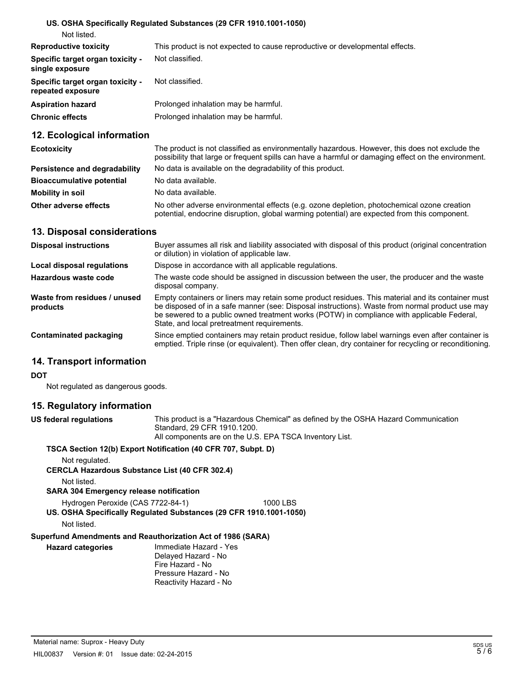## **US. OSHA Specifically Regulated Substances (29 CFR 1910.1001-1050)**

| <b>Reproductive toxicity</b>                          | This product is not expected to cause reproductive or developmental effects. |
|-------------------------------------------------------|------------------------------------------------------------------------------|
| Specific target organ toxicity -<br>single exposure   | Not classified.                                                              |
| Specific target organ toxicity -<br>repeated exposure | Not classified.                                                              |
| <b>Aspiration hazard</b>                              | Prolonged inhalation may be harmful.                                         |
| <b>Chronic effects</b>                                | Prolonged inhalation may be harmful.                                         |

### **12. Ecological information**

| <b>Ecotoxicity</b>               | The product is not classified as environmentally hazardous. However, this does not exclude the<br>possibility that large or frequent spills can have a harmful or damaging effect on the environment. |
|----------------------------------|-------------------------------------------------------------------------------------------------------------------------------------------------------------------------------------------------------|
| Persistence and degradability    | No data is available on the degradability of this product.                                                                                                                                            |
| <b>Bioaccumulative potential</b> | No data available.                                                                                                                                                                                    |
| Mobility in soil                 | No data available.                                                                                                                                                                                    |
| Other adverse effects            | No other adverse environmental effects (e.g. ozone depletion, photochemical ozone creation<br>potential, endocrine disruption, global warming potential) are expected from this component.            |

## **13. Disposal considerations**

| <b>Disposal instructions</b>             | Buyer assumes all risk and liability associated with disposal of this product (original concentration<br>or dilution) in violation of applicable law.                                                                                                                                                                                             |
|------------------------------------------|---------------------------------------------------------------------------------------------------------------------------------------------------------------------------------------------------------------------------------------------------------------------------------------------------------------------------------------------------|
| Local disposal regulations               | Dispose in accordance with all applicable regulations.                                                                                                                                                                                                                                                                                            |
| Hazardous waste code                     | The waste code should be assigned in discussion between the user, the producer and the waste<br>disposal company.                                                                                                                                                                                                                                 |
| Waste from residues / unused<br>products | Empty containers or liners may retain some product residues. This material and its container must<br>be disposed of in a safe manner (see: Disposal instructions). Waste from normal product use may<br>be sewered to a public owned treatment works (POTW) in compliance with applicable Federal.<br>State, and local pretreatment requirements. |
| Contaminated packaging                   | Since emptied containers may retain product residue, follow label warnings even after container is<br>emptied. Triple rinse (or equivalent). Then offer clean, dry container for recycling or reconditioning.                                                                                                                                     |

## **14. Transport information**

#### **DOT**

Not regulated as dangerous goods.

### **15. Regulatory information**

| US federal regulations                                      | This product is a "Hazardous Chemical" as defined by the OSHA Hazard Communication<br>Standard, 29 CFR 1910.1200.<br>All components are on the U.S. EPA TSCA Inventory List. |  |  |
|-------------------------------------------------------------|------------------------------------------------------------------------------------------------------------------------------------------------------------------------------|--|--|
| TSCA Section 12(b) Export Notification (40 CER 707 Subpt D) |                                                                                                                                                                              |  |  |

#### **TSCA Section 12(b) Export Notification (40 CFR 707, Subpt. D)**

Not regulated.

**CERCLA Hazardous Substance List (40 CFR 302.4)**

Not listed.

#### **SARA 304 Emergency release notification**

Hydrogen Peroxide (CAS 7722-84-1) 1000 LBS **US. OSHA Specifically Regulated Substances (29 CFR 1910.1001-1050)**

Not listed.

#### **Superfund Amendments and Reauthorization Act of 1986 (SARA)**

**Hazard categories** Immediate Hazard - Yes Delayed Hazard - No Fire Hazard - No Pressure Hazard - No Reactivity Hazard - No